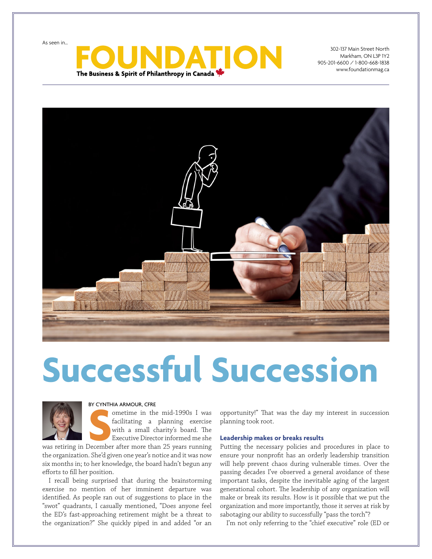As seen in…



302-137 Main Street North Markham, ON L3P 1Y2 905-201-6600 / 1-800-668-1838 www.foundationmag.ca



# **Successful Succession**



#### BY CYNTHIA ARMOUR, CFRE

BY CYNTHIA ARMOUR, CFRE<br>
ometime in the mid-1990s I was<br>
facilitating a planning exercise<br>
with a small charity's board. The<br>
Executive Director informed me she<br>
was retiring in December after more than 25 years running ometime in the mid-1990s I was facilitating a planning exercise with a small charity's board. The Executive Director informed me she

the organization. She'd given one year's notice and it was now six months in; to her knowledge, the board hadn't begun any efforts to fill her position.

I recall being surprised that during the brainstorming exercise no mention of her imminent departure was identified. As people ran out of suggestions to place in the "swot" quadrants, I casually mentioned, "Does anyone feel the ED's fast-approaching retirement might be a threat to the organization?" She quickly piped in and added "or an

opportunity!" That was the day my interest in succession planning took root.

#### **Leadership makes or breaks results**

Putting the necessary policies and procedures in place to ensure your nonprofit has an orderly leadership transition will help prevent chaos during vulnerable times. Over the passing decades I've observed a general avoidance of these important tasks, despite the inevitable aging of the largest generational cohort. The leadership of any organization will make or break its results. How is it possible that we put the organization and more importantly, those it serves at risk by sabotaging our ability to successfully "pass the torch"?

I'm not only referring to the "chief executive" role (ED or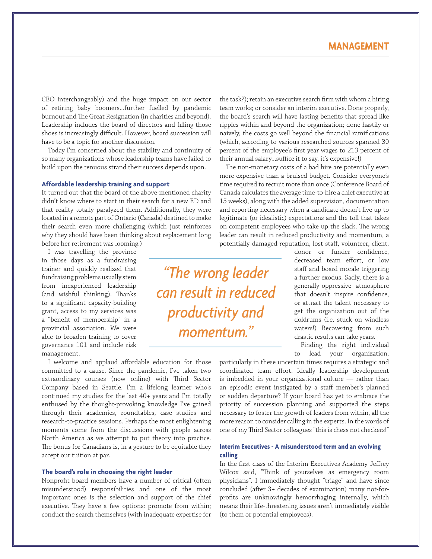CEO interchangeably) and the huge impact on our sector of retiring baby boomers...further fuelled by pandemic burnout and The Great Resignation (in charities and beyond). Leadership includes the board of directors and filling those shoes is increasingly difficult. However, board succession will have to be a topic for another discussion.

Today I'm concerned about the stability and continuity of so many organizations whose leadership teams have failed to build upon the tenuous strand their success depends upon.

#### **Affordable leadership training and support**

It turned out that the board of the above-mentioned charity didn't know where to start in their search for a new ED and that reality totally paralyzed them. Additionally, they were located in a remote part of Ontario (Canada) destined to make their search even more challenging (which just reinforces why they should have been thinking about replacement long before her retirement was looming.)

I was travelling the province in those days as a fundraising trainer and quickly realized that fundraising problems usually stem from inexperienced leadership (and wishful thinking). Thanks to a significant capacity-building grant, access to my services was a "benefit of membership" in a provincial association. We were able to broaden training to cover governance 101 and include risk management.

I welcome and applaud affordable education for those committed to a cause. Since the pandemic, I've taken two extraordinary courses (now online) with Third Sector Company based in Seattle. I'm a lifelong learner who's continued my studies for the last 40+ years and I'm totally enthused by the thought-provoking knowledge I've gained through their academies, roundtables, case studies and research-to-practice sessions. Perhaps the most enlightening moments come from the discussions with people across North America as we attempt to put theory into practice. The bonus for Canadians is, in a gesture to be equitable they accept our tuition at par.

#### **The board's role in choosing the right leader**

Nonprofit board members have a number of critical (often misunderstood) responsibilities and one of the most important ones is the selection and support of the chief executive. They have a few options: promote from within; conduct the search themselves (with inadequate expertise for

the task?); retain an executive search firm with whom a hiring team works; or consider an interim executive. Done properly, the board's search will have lasting benefits that spread like ripples within and beyond the organization; done hastily or naively, the costs go well beyond the financial ramifications (which, according to various researched sources spanned 30 percent of the employee's first year wages to 213 percent of their annual salary...suffice it to say, it's expensive!)

The non-monetary costs of a bad hire are potentially even more expensive than a bruised budget. Consider everyone's time required to recruit more than once (Conference Board of Canada calculates the average time-to-hire a chief executive at 15 weeks), along with the added supervision, documentation and reporting necessary when a candidate doesn't live up to legitimate (or idealistic) expectations and the toll that takes on competent employees who take up the slack. The wrong leader can result in reduced productivity and momentum, a potentially-damaged reputation, lost staff, volunteer, client,

*"The wrong leader can result in reduced productivity and momentum."*

donor or funder confidence, decreased team effort, or low staff and board morale triggering a further exodus. Sadly, there is a generally-oppressive atmosphere that doesn't inspire confidence, or attract the talent necessary to get the organization out of the doldrums (i.e. stuck on windless waters!) Recovering from such drastic results can take years.

Finding the right individual to lead your organization,

particularly in these uncertain times requires a strategic and coordinated team effort. Ideally leadership development is imbedded in your organizational culture — rather than an episodic event instigated by a staff member's planned or sudden departure? If your board has yet to embrace the priority of succession planning and supported the steps necessary to foster the growth of leaders from within, all the more reason to consider calling in the experts. In the words of one of my Third Sector colleagues "this is chess not checkers!"

#### **Interim Executives - A misunderstood term and an evolving calling**

In the first class of the Interim Executives Academy Jeffrey Wilcox said, "Think of yourselves as emergency room physicians". I immediately thought "triage" and have since concluded (after 3+ decades of examination) many not-forprofits are unknowingly hemorrhaging internally, which means their life-threatening issues aren't immediately visible (to them or potential employees).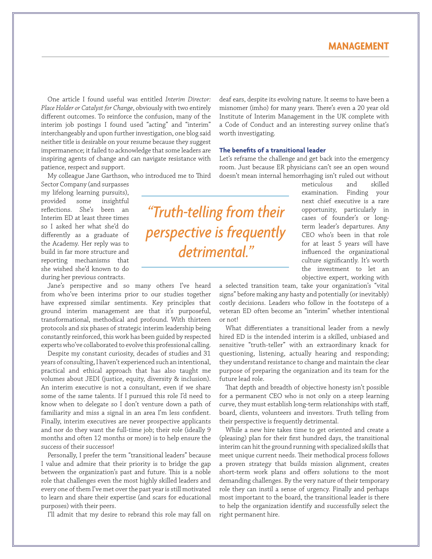## **MANAGEMENT**

One article I found useful was entitled *Interim Director: Place Holder or Catalyst for Change*, obviously with two entirely different outcomes. To reinforce the confusion, many of the interim job postings I found used "acting" and "interim" interchangeably and upon further investigation, one blog said neither title is desirable on your resume because they suggest impermanence; it failed to acknowledge that some leaders are inspiring agents of change and can navigate resistance with patience, respect and support.

My colleague Jane Garthson, who introduced me to Third

Sector Company (and surpasses my lifelong learning pursuits), provided some insightful reflections. She's been an Interim ED at least three times so I asked her what she'd do differently as a graduate of the Academy. Her reply was to build in far more structure and reporting mechanisms that she wished she'd known to do during her previous contracts.

Jane's perspective and so many others I've heard from who've been interims prior to our studies together have expressed similar sentiments. Key principles that ground interim management are that it's purposeful, transformational, methodical and profound. With thirteen protocols and six phases of strategic interim leadership being constantly reinforced, this work has been guided by respected experts who've collaborated to evolve this professional calling.

Despite my constant curiosity, decades of studies and 31 years of consulting, I haven't experienced such an intentional, practical and ethical approach that has also taught me volumes about JEDI (justice, equity, diversity & inclusion). An interim executive is not a consultant, even if we share some of the same talents. If I pursued this role I'd need to know when to delegate so I don't venture down a path of familiarity and miss a signal in an area I'm less confident. Finally, interim executives are never prospective applicants and nor do they want the full-time job; their role (ideally 9 months and often 12 months or more) is to help ensure the success of their successor!

Personally, I prefer the term "transitional leaders" because I value and admire that their priority is to bridge the gap between the organization's past and future. This is a noble role that challenges even the most highly skilled leaders and every one of them I've met over the past year is still motivated to learn and share their expertise (and scars for educational purposes) with their peers.

I'll admit that my desire to rebrand this role may fall on

deaf ears, despite its evolving nature. It seems to have been a misnomer (imho) for many years. There's even a 20 year old Institute of Interim Management in the UK complete with a Code of Conduct and an interesting survey online that's worth investigating.

#### **The benefits of a transitional leader**

Let's reframe the challenge and get back into the emergency room. Just because ER physicians can't see an open wound doesn't mean internal hemorrhaging isn't ruled out without

> meticulous and skilled examination. Finding your next chief executive is a rare opportunity, particularly in cases of founder's or longterm leader's departures. Any CEO who's been in that role for at least 5 years will have influenced the organizational culture significantly. It's worth the investment to let an objective expert, working with

a selected transition team, take your organization's "vital signs" before making any hasty and potentially (or inevitably) costly decisions. Leaders who follow in the footsteps of a veteran ED often become an "interim" whether intentional or not!

What differentiates a transitional leader from a newly hired ED is the intended interim is a skilled, unbiased and sensitive "truth-teller" with an extraordinary knack for questioning, listening, actually hearing and responding; they understand resistance to change and maintain the clear purpose of preparing the organization and its team for the future lead role.

That depth and breadth of objective honesty isn't possible for a permanent CEO who is not only on a steep learning curve, they must establish long-term relationships with staff, board, clients, volunteers and investors. Truth telling from their perspective is frequently detrimental.

While a new hire takes time to get oriented and create a (pleasing) plan for their first hundred days, the transitional interim can hit the ground running with specialized skills that meet unique current needs. Their methodical process follows a proven strategy that builds mission alignment, creates short-term work plans and offers solutions to the most demanding challenges. By the very nature of their temporary role they can instil a sense of urgency. Finally and perhaps most important to the board, the transitional leader is there to help the organization identify and successfully select the right permanent hire.

# *"Truth-telling from their perspective is frequently detrimental."*